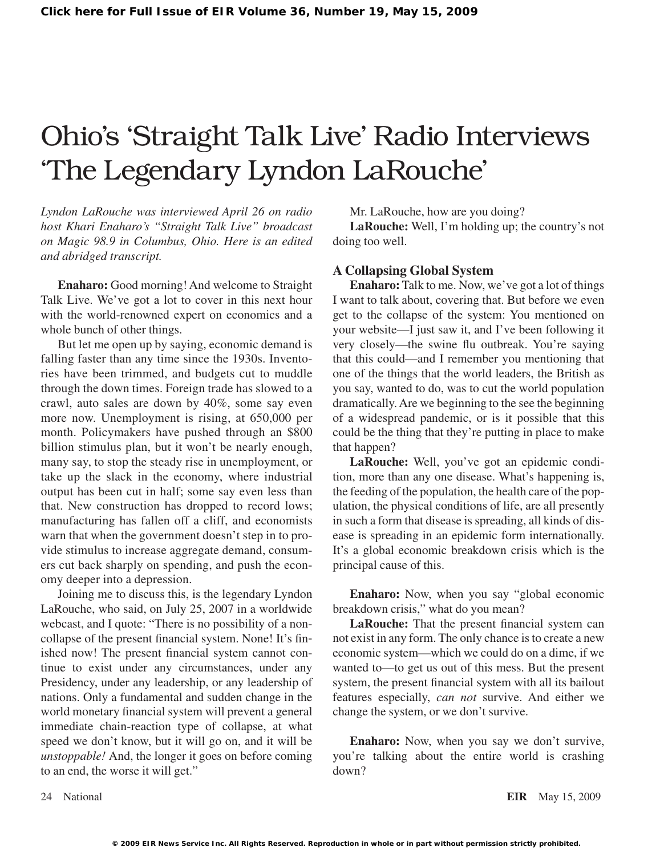# Ohio's 'Straight Talk Live' Radio Interviews 'The Legendary Lyndon LaRouche'

*Lyndon LaRouche was interviewed April 26 on radio host Khari Enaharo's "Straight Talk Live" broadcast on Magic 98.9 in Columbus, Ohio. Here is an edited and abridged transcript.*

**Enaharo:** Good morning! And welcome to Straight Talk Live. We've got a lot to cover in this next hour with the world-renowned expert on economics and a whole bunch of other things.

But let me open up by saying, economic demand is falling faster than any time since the 1930s. Inventories have been trimmed, and budgets cut to muddle through the down times. Foreign trade has slowed to a crawl, auto sales are down by 40%, some say even more now. Unemployment is rising, at 650,000 per month. Policymakers have pushed through an \$800 billion stimulus plan, but it won't be nearly enough, many say, to stop the steady rise in unemployment, or take up the slack in the economy, where industrial output has been cut in half; some say even less than that. New construction has dropped to record lows; manufacturing has fallen off a cliff, and economists warn that when the government doesn't step in to provide stimulus to increase aggregate demand, consumers cut back sharply on spending, and push the economy deeper into a depression.

Joining me to discuss this, is the legendary Lyndon LaRouche, who said, on July 25, 2007 in a worldwide webcast, and I quote: "There is no possibility of a noncollapse of the present financial system. None! It's finished now! The present financial system cannot continue to exist under any circumstances, under any Presidency, under any leadership, or any leadership of nations. Only a fundamental and sudden change in the world monetary financial system will prevent a general immediate chain-reaction type of collapse, at what speed we don't know, but it will go on, and it will be *unstoppable!* And, the longer it goes on before coming to an end, the worse it will get."

Mr. LaRouche, how are you doing?

**LaRouche:** Well, I'm holding up; the country's not doing too well.

#### **A Collapsing Global System**

**Enaharo:** Talk to me. Now, we've got a lot of things I want to talk about, covering that. But before we even get to the collapse of the system: You mentioned on your website—I just saw it, and I've been following it very closely—the swine flu outbreak. You're saying that this could—and I remember you mentioning that one of the things that the world leaders, the British as you say, wanted to do, was to cut the world population dramatically.Are we beginning to the see the beginning of a widespread pandemic, or is it possible that this could be the thing that they're putting in place to make that happen?

**LaRouche:** Well, you've got an epidemic condition, more than any one disease. What's happening is, the feeding of the population, the health care of the population, the physical conditions of life, are all presently in such a form that disease is spreading, all kinds of disease is spreading in an epidemic form internationally. It's a global economic breakdown crisis which is the principal cause of this.

**Enaharo:** Now, when you say "global economic breakdown crisis," what do you mean?

**LaRouche:** That the present financial system can not exist in any form. The only chance is to create a new economic system—which we could do on a dime, if we wanted to—to get us out of this mess. But the present system, the present financial system with all its bailout features especially, *can not* survive. And either we change the system, or we don't survive.

**Enaharo:** Now, when you say we don't survive, you're talking about the entire world is crashing down?

24 National **EIR** May 15, 2009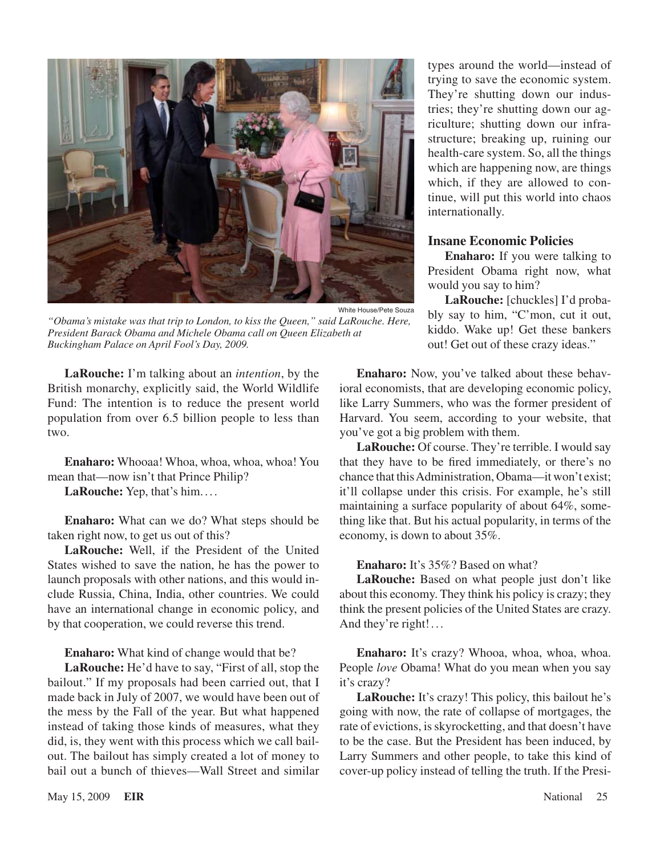

*"Obama's mistake was that trip to London, to kiss the Queen," said LaRouche. Here, President Barack Obama and Michele Obama call on Queen Elizabeth at Buckingham Palace on April Fool's Day, 2009.*

**LaRouche:** I'm talking about an *intention*, by the British monarchy, explicitly said, the World Wildlife Fund: The intention is to reduce the present world population from over 6.5 billion people to less than two.

**Enaharo:** Whooaa! Whoa, whoa, whoa, whoa! You mean that—now isn't that Prince Philip?

**LaRouche:** Yep, that's him. ...

**Enaharo:** What can we do? What steps should be taken right now, to get us out of this?

**LaRouche:** Well, if the President of the United States wished to save the nation, he has the power to launch proposals with other nations, and this would include Russia, China, India, other countries. We could have an international change in economic policy, and by that cooperation, we could reverse this trend.

#### **Enaharo:** What kind of change would that be?

**LaRouche:** He'd have to say, "First of all, stop the bailout." If my proposals had been carried out, that I made back in July of 2007, we would have been out of the mess by the Fall of the year. But what happened instead of taking those kinds of measures, what they did, is, they went with this process which we call bailout. The bailout has simply created a lot of money to bail out a bunch of thieves—Wall Street and similar

types around the world—instead of trying to save the economic system. They're shutting down our industries; they're shutting down our agriculture; shutting down our infrastructure; breaking up, ruining our health-care system. So, all the things which are happening now, are things which, if they are allowed to continue, will put this world into chaos internationally.

#### **Insane Economic Policies**

**Enaharo:** If you were talking to President Obama right now, what would you say to him?

**LaRouche:** [chuckles] I'd probably say to him, "C'mon, cut it out, kiddo. Wake up! Get these bankers out! Get out of these crazy ideas."

**Enaharo:** Now, you've talked about these behavioral economists, that are developing economic policy, like Larry Summers, who was the former president of Harvard. You seem, according to your website, that you've got a big problem with them.

**LaRouche:** Of course. They're terrible. I would say that they have to be fired immediately, or there's no chance that thisAdministration, Obama—it won't exist; it'll collapse under this crisis. For example, he's still maintaining a surface popularity of about 64%, something like that. But his actual popularity, in terms of the economy, is down to about 35%.

#### **Enaharo:** It's 35%? Based on what?

**LaRouche:** Based on what people just don't like about this economy. They think his policy is crazy; they think the present policies of the United States are crazy. And they're right!...

**Enaharo:** It's crazy? Whooa, whoa, whoa, whoa. People *love* Obama! What do you mean when you say it's crazy?

**LaRouche:** It's crazy! This policy, this bailout he's going with now, the rate of collapse of mortgages, the rate of evictions, is skyrocketting, and that doesn't have to be the case. But the President has been induced, by Larry Summers and other people, to take this kind of cover-up policy instead of telling the truth. If the Presi-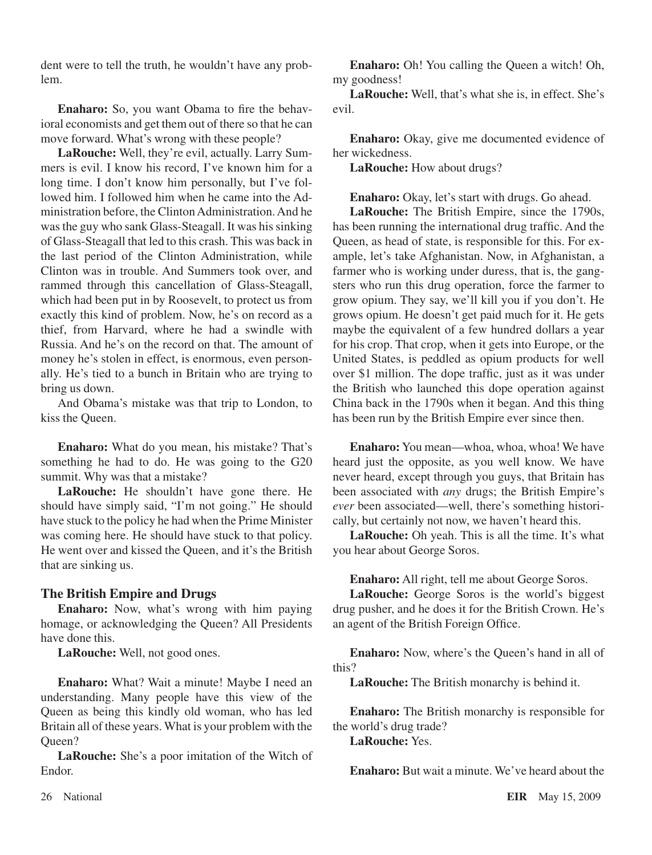dent were to tell the truth, he wouldn't have any problem.

**Enaharo:** So, you want Obama to fire the behavioral economists and get them out of there so that he can move forward. What's wrong with these people?

**LaRouche:** Well, they're evil, actually. Larry Summers is evil. I know his record, I've known him for a long time. I don't know him personally, but I've followed him. I followed him when he came into the Administration before, the Clinton Administration. And he was the guy who sank Glass-Steagall. It was his sinking of Glass-Steagall that led to this crash. This was back in the last period of the Clinton Administration, while Clinton was in trouble. And Summers took over, and rammed through this cancellation of Glass-Steagall, which had been put in by Roosevelt, to protect us from exactly this kind of problem. Now, he's on record as a thief, from Harvard, where he had a swindle with Russia. And he's on the record on that. The amount of money he's stolen in effect, is enormous, even personally. He's tied to a bunch in Britain who are trying to bring us down.

And Obama's mistake was that trip to London, to kiss the Queen.

**Enaharo:** What do you mean, his mistake? That's something he had to do. He was going to the G20 summit. Why was that a mistake?

**LaRouche:** He shouldn't have gone there. He should have simply said, "I'm not going." He should have stuck to the policy he had when the Prime Minister was coming here. He should have stuck to that policy. He went over and kissed the Queen, and it's the British that are sinking us.

### **The British Empire and Drugs**

**Enaharo:** Now, what's wrong with him paying homage, or acknowledging the Queen? All Presidents have done this.

**LaRouche:** Well, not good ones.

**Enaharo:** What? Wait a minute! Maybe I need an understanding. Many people have this view of the Queen as being this kindly old woman, who has led Britain all of these years. What is your problem with the Queen?

**LaRouche:** She's a poor imitation of the Witch of Endor.

**Enaharo:** Oh! You calling the Queen a witch! Oh, my goodness!

**LaRouche:** Well, that's what she is, in effect. She's evil.

**Enaharo:** Okay, give me documented evidence of her wickedness.

**LaRouche:** How about drugs?

**Enaharo:** Okay, let's start with drugs. Go ahead.

**LaRouche:** The British Empire, since the 1790s, has been running the international drug traffic. And the Queen, as head of state, is responsible for this. For example, let's take Afghanistan. Now, in Afghanistan, a farmer who is working under duress, that is, the gangsters who run this drug operation, force the farmer to grow opium. They say, we'll kill you if you don't. He grows opium. He doesn't get paid much for it. He gets maybe the equivalent of a few hundred dollars a year for his crop. That crop, when it gets into Europe, or the United States, is peddled as opium products for well over \$1 million. The dope traffic, just as it was under the British who launched this dope operation against China back in the 1790s when it began. And this thing has been run by the British Empire ever since then.

**Enaharo:** You mean—whoa, whoa, whoa! We have heard just the opposite, as you well know. We have never heard, except through you guys, that Britain has been associated with *any* drugs; the British Empire's *ever* been associated—well, there's something historically, but certainly not now, we haven't heard this.

**LaRouche:** Oh yeah. This is all the time. It's what you hear about George Soros.

**Enaharo:** All right, tell me about George Soros.

**LaRouche:** George Soros is the world's biggest drug pusher, and he does it for the British Crown. He's an agent of the British Foreign Office.

**Enaharo:** Now, where's the Queen's hand in all of this?

**LaRouche:** The British monarchy is behind it.

**Enaharo:** The British monarchy is responsible for the world's drug trade?

**LaRouche:** Yes.

**Enaharo:** But wait a minute. We've heard about the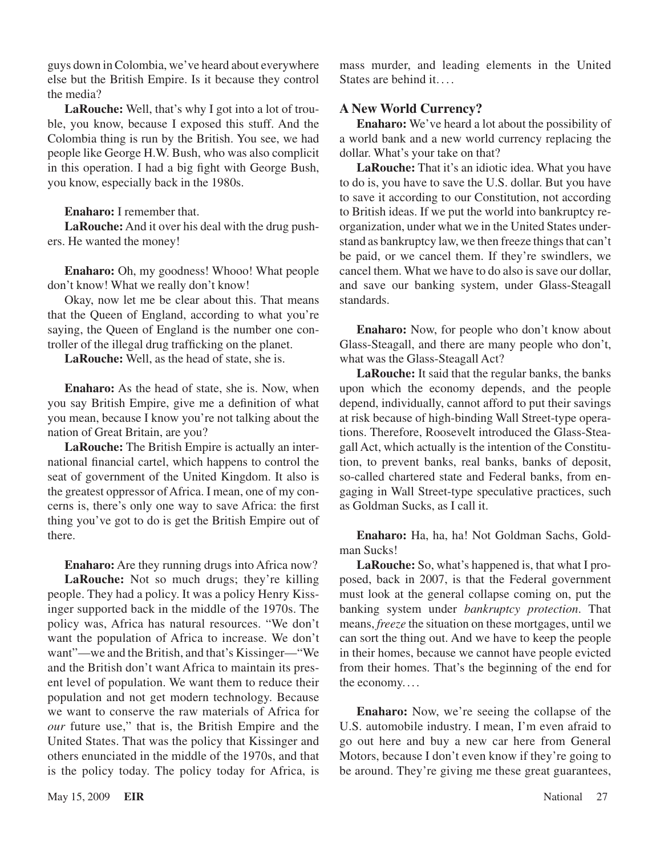guys down in Colombia, we've heard about everywhere else but the British Empire. Is it because they control the media?

**LaRouche:** Well, that's why I got into a lot of trouble, you know, because I exposed this stuff. And the Colombia thing is run by the British. You see, we had people like George H.W. Bush, who was also complicit in this operation. I had a big fight with George Bush, you know, especially back in the 1980s.

**Enaharo:** I remember that.

**LaRouche:** And it over his deal with the drug pushers. He wanted the money!

**Enaharo:** Oh, my goodness! Whooo! What people don't know! What we really don't know!

Okay, now let me be clear about this. That means that the Queen of England, according to what you're saying, the Queen of England is the number one controller of the illegal drug trafficking on the planet.

**LaRouche:** Well, as the head of state, she is.

**Enaharo:** As the head of state, she is. Now, when you say British Empire, give me a definition of what you mean, because I know you're not talking about the nation of Great Britain, are you?

**LaRouche:** The British Empire is actually an international financial cartel, which happens to control the seat of government of the United Kingdom. It also is the greatest oppressor of Africa. I mean, one of my concerns is, there's only one way to save Africa: the first thing you've got to do is get the British Empire out of there.

**Enaharo:** Are they running drugs into Africa now? **LaRouche:** Not so much drugs; they're killing people. They had a policy. It was a policy Henry Kissinger supported back in the middle of the 1970s. The policy was, Africa has natural resources. "We don't want the population of Africa to increase. We don't want"—we and the British, and that's Kissinger—"We and the British don't want Africa to maintain its present level of population. We want them to reduce their population and not get modern technology. Because we want to conserve the raw materials of Africa for *our* future use," that is, the British Empire and the United States. That was the policy that Kissinger and others enunciated in the middle of the 1970s, and that is the policy today. The policy today for Africa, is

mass murder, and leading elements in the United States are behind it. . . .

## **A New World Currency?**

**Enaharo:** We've heard a lot about the possibility of a world bank and a new world currency replacing the dollar. What's your take on that?

**LaRouche:** That it's an idiotic idea. What you have to do is, you have to save the U.S. dollar. But you have to save it according to our Constitution, not according to British ideas. If we put the world into bankruptcy reorganization, under what we in the United States understand as bankruptcy law, we then freeze things that can't be paid, or we cancel them. If they're swindlers, we cancel them. What we have to do also is save our dollar, and save our banking system, under Glass-Steagall standards.

**Enaharo:** Now, for people who don't know about Glass-Steagall, and there are many people who don't, what was the Glass-Steagall Act?

**LaRouche:** It said that the regular banks, the banks upon which the economy depends, and the people depend, individually, cannot afford to put their savings at risk because of high-binding Wall Street-type operations. Therefore, Roosevelt introduced the Glass-Steagall Act, which actually is the intention of the Constitution, to prevent banks, real banks, banks of deposit, so-called chartered state and Federal banks, from engaging in Wall Street-type speculative practices, such as Goldman Sucks, as I call it.

**Enaharo:** Ha, ha, ha! Not Goldman Sachs, Goldman Sucks!

**LaRouche:** So, what's happened is, that what I proposed, back in 2007, is that the Federal government must look at the general collapse coming on, put the banking system under *bankruptcy protection*. That means, *freeze* the situation on these mortgages, until we can sort the thing out. And we have to keep the people in their homes, because we cannot have people evicted from their homes. That's the beginning of the end for the economy....

**Enaharo:** Now, we're seeing the collapse of the U.S. automobile industry. I mean, I'm even afraid to go out here and buy a new car here from General Motors, because I don't even know if they're going to be around. They're giving me these great guarantees,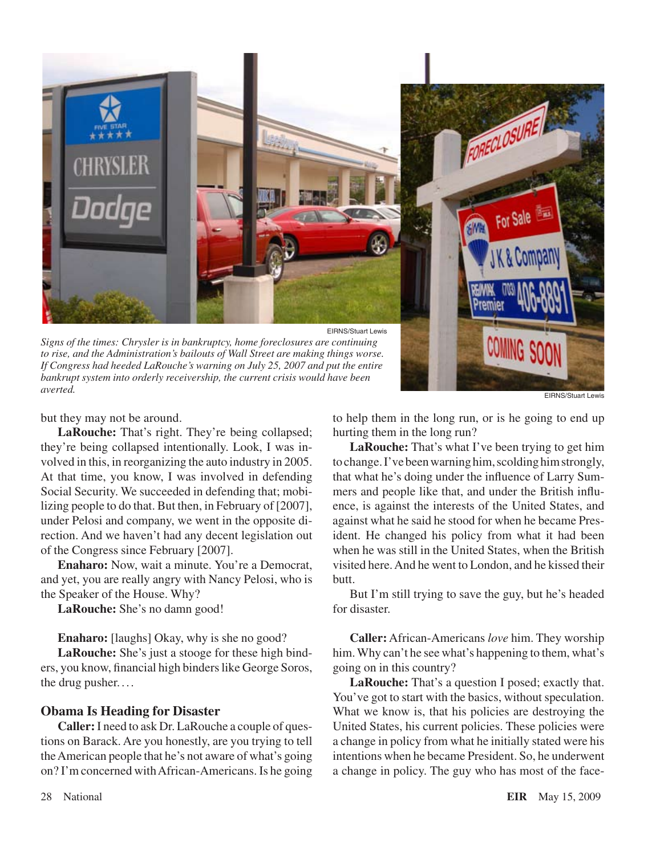

EIRNS/Stuart Lewis

but they may not be around.

*averted.*

**LaRouche:** That's right. They're being collapsed; they're being collapsed intentionally. Look, I was involved in this, in reorganizing the auto industry in 2005. At that time, you know, I was involved in defending Social Security. We succeeded in defending that; mobilizing people to do that. But then, in February of [2007], under Pelosi and company, we went in the opposite direction. And we haven't had any decent legislation out of the Congress since February [2007].

**Enaharo:** Now, wait a minute. You're a Democrat, and yet, you are really angry with Nancy Pelosi, who is the Speaker of the House. Why?

**LaRouche:** She's no damn good!

**Enaharo:** [laughs] Okay, why is she no good?

**LaRouche:** She's just a stooge for these high binders, you know, financial high binders like George Soros, the drug pusher. . . .

#### **Obama Is Heading for Disaster**

**Caller:**I need to ask Dr. LaRouche a couple of questions on Barack. Are you honestly, are you trying to tell theAmerican people that he's not aware of what's going on? I'm concerned withAfrican-Americans. Is he going to help them in the long run, or is he going to end up hurting them in the long run?

**LaRouche:** That's what I've been trying to get him tochange.I'vebeenwarninghim,scoldinghimstrongly, that what he's doing under the influence of Larry Summers and people like that, and under the British influence, is against the interests of the United States, and against what he said he stood for when he became President. He changed his policy from what it had been when he was still in the United States, when the British visited here.And he went to London, and he kissed their butt.

But I'm still trying to save the guy, but he's headed for disaster.

**Caller:** African-Americans *love* him. They worship him.Why can't he see what's happening to them, what's going on in this country?

**LaRouche:** That's a question I posed; exactly that. You've got to start with the basics, without speculation. What we know is, that his policies are destroying the United States, his current policies. These policies were a change in policy from what he initially stated were his intentions when he became President. So, he underwent a change in policy. The guy who has most of the face